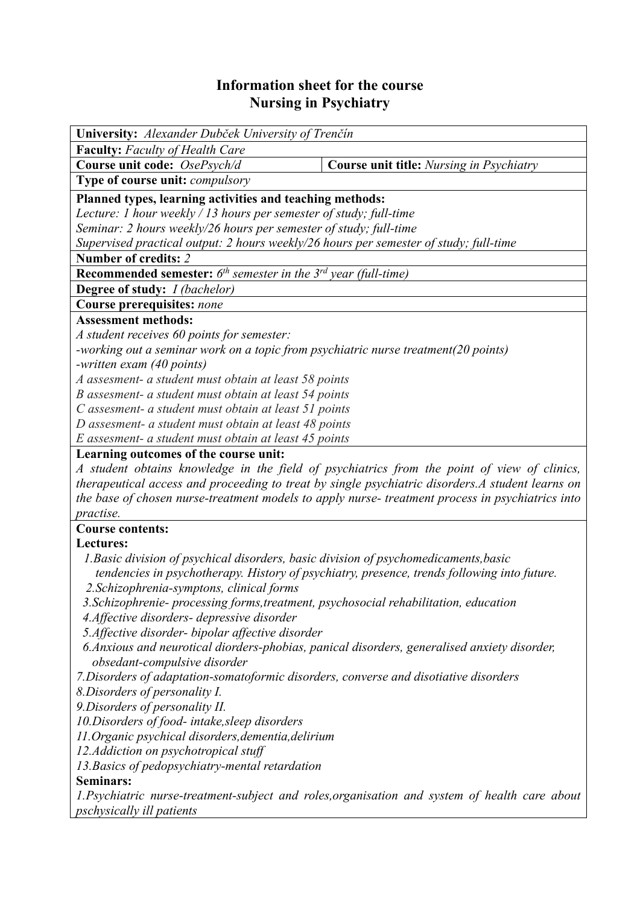## **Information sheet for the course Nursing in Psychiatry**

| University: Alexander Dubček University of Trenčín                                                                           |                                                                                                   |  |  |  |  |
|------------------------------------------------------------------------------------------------------------------------------|---------------------------------------------------------------------------------------------------|--|--|--|--|
| <b>Faculty:</b> Faculty of Health Care                                                                                       |                                                                                                   |  |  |  |  |
| Course unit code: OsePsych/d                                                                                                 | <b>Course unit title:</b> Nursing in Psychiatry                                                   |  |  |  |  |
| Type of course unit: compulsory                                                                                              |                                                                                                   |  |  |  |  |
| Planned types, learning activities and teaching methods:                                                                     |                                                                                                   |  |  |  |  |
| Lecture: 1 hour weekly / 13 hours per semester of study; full-time                                                           |                                                                                                   |  |  |  |  |
| Seminar: 2 hours weekly/26 hours per semester of study; full-time                                                            |                                                                                                   |  |  |  |  |
| Supervised practical output: 2 hours weekly/26 hours per semester of study; full-time                                        |                                                                                                   |  |  |  |  |
| Number of credits: 2                                                                                                         |                                                                                                   |  |  |  |  |
| <b>Recommended semester:</b> $6^{th}$ semester in the $3^{rd}$ year (full-time)                                              |                                                                                                   |  |  |  |  |
| <b>Degree of study:</b> <i>I (bachelor)</i>                                                                                  |                                                                                                   |  |  |  |  |
| Course prerequisites: none                                                                                                   |                                                                                                   |  |  |  |  |
| <b>Assessment methods:</b>                                                                                                   |                                                                                                   |  |  |  |  |
| A student receives 60 points for semester:                                                                                   |                                                                                                   |  |  |  |  |
| -working out a seminar work on a topic from psychiatric nurse treatment(20 points)                                           |                                                                                                   |  |  |  |  |
| -written exam (40 points)                                                                                                    |                                                                                                   |  |  |  |  |
| A assesment- a student must obtain at least 58 points                                                                        |                                                                                                   |  |  |  |  |
| B assesment- a student must obtain at least 54 points                                                                        |                                                                                                   |  |  |  |  |
| C assesment- a student must obtain at least 51 points                                                                        |                                                                                                   |  |  |  |  |
| D assesment- a student must obtain at least 48 points                                                                        |                                                                                                   |  |  |  |  |
| E assesment- a student must obtain at least 45 points                                                                        |                                                                                                   |  |  |  |  |
| Learning outcomes of the course unit:                                                                                        |                                                                                                   |  |  |  |  |
|                                                                                                                              | A student obtains knowledge in the field of psychiatrics from the point of view of clinics,       |  |  |  |  |
|                                                                                                                              | therapeutical access and proceeding to treat by single psychiatric disorders. A student learns on |  |  |  |  |
|                                                                                                                              | the base of chosen nurse-treatment models to apply nurse- treatment process in psychiatrics into  |  |  |  |  |
| practise.                                                                                                                    |                                                                                                   |  |  |  |  |
| <b>Course contents:</b>                                                                                                      |                                                                                                   |  |  |  |  |
| Lectures:                                                                                                                    |                                                                                                   |  |  |  |  |
| 1. Basic division of psychical disorders, basic division of psychomedicaments, basic                                         |                                                                                                   |  |  |  |  |
| 2. Schizophrenia-symptons, clinical forms                                                                                    | tendencies in psychotherapy. History of psychiatry, presence, trends following into future.       |  |  |  |  |
| 3. Schizophrenie- processing forms, treatment, psychosocial rehabilitation, education                                        |                                                                                                   |  |  |  |  |
| 4. Affective disorders- depressive disorder                                                                                  |                                                                                                   |  |  |  |  |
| 5. Affective disorder- bipolar affective disorder                                                                            |                                                                                                   |  |  |  |  |
| 6. Anxious and neurotical diorders-phobias, panical disorders, generalised anxiety disorder,<br>obsedant-compulsive disorder |                                                                                                   |  |  |  |  |
| 7. Disorders of adaptation-somatoformic disorders, converse and disotiative disorders                                        |                                                                                                   |  |  |  |  |
| 8. Disorders of personality I.                                                                                               |                                                                                                   |  |  |  |  |
| 9. Disorders of personality II.                                                                                              |                                                                                                   |  |  |  |  |
| 10. Disorders of food- intake, sleep disorders                                                                               |                                                                                                   |  |  |  |  |
| 11. Organic psychical disorders, dementia, delirium                                                                          |                                                                                                   |  |  |  |  |
| 12. Addiction on psychotropical stuff                                                                                        |                                                                                                   |  |  |  |  |
| 13. Basics of pedopsychiatry-mental retardation                                                                              |                                                                                                   |  |  |  |  |
| <b>Seminars:</b>                                                                                                             |                                                                                                   |  |  |  |  |
|                                                                                                                              | 1. Psychiatric nurse-treatment-subject and roles, organisation and system of health care about    |  |  |  |  |
| <i>pschysically ill patients</i>                                                                                             |                                                                                                   |  |  |  |  |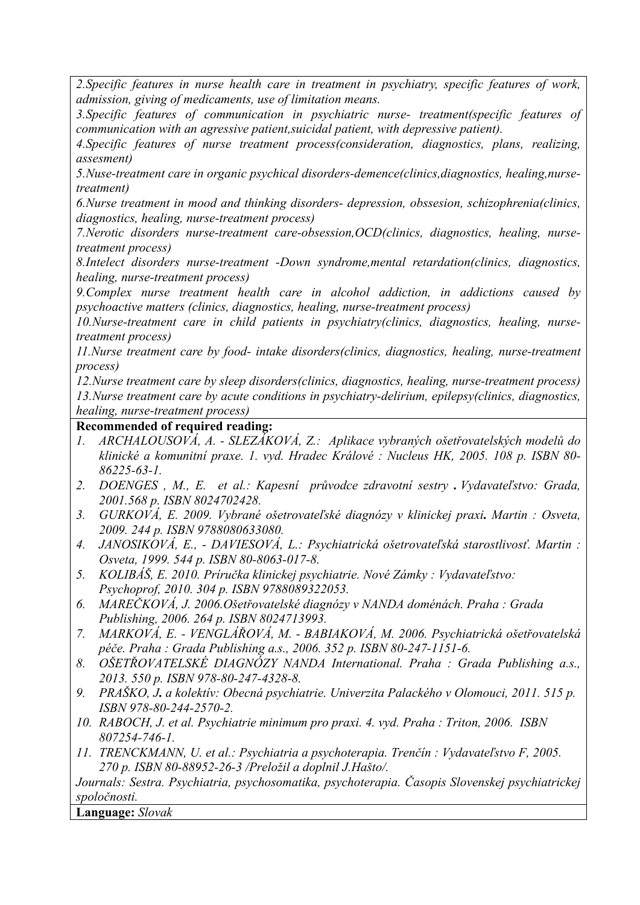*2.Specific features in nurse health care in treatment in psychiatry, specific features of work, admission, giving of medicaments, use of limitation means.* 

*3.Specific features of communication in psychiatric nurse- treatment(specific features of communication with an agressive patient,suicidal patient, with depressive patient).* 

*4.Specific features of nurse treatment process(consideration, diagnostics, plans, realizing, assesment)* 

*5.Nuse-treatment care in organic psychical disorders-demence(clinics,diagnostics, healing,nursetreatment)* 

*6.Nurse treatment in mood and thinking disorders- depression, obssesion, schizophrenia(clinics, diagnostics, healing, nurse-treatment process)* 

*7.Nerotic disorders nurse-treatment care-obsession,OCD(clinics, diagnostics, healing, nursetreatment process)* 

*8.Intelect disorders nurse-treatment -Down syndrome,mental retardation(clinics, diagnostics, healing, nurse-treatment process)* 

*9.Complex nurse treatment health care in alcohol addiction, in addictions caused by psychoactive matters (clinics, diagnostics, healing, nurse-treatment process)* 

*10.Nurse-treatment care in child patients in psychiatry(clinics, diagnostics, healing, nursetreatment process)* 

*11.Nurse treatment care by food- intake disorders(clinics, diagnostics, healing, nurse-treatment process)* 

*12.Nurse treatment care by sleep disorders(clinics, diagnostics, healing, nurse-treatment process) 13.Nurse treatment care by acute conditions in psychiatry-delirium, epilepsy(clinics, diagnostics, healing, nurse-treatment process)*

## **Recommended of required reading:**

- *1. ARCHALOUSOVÁ, A. SLEZÁKOVÁ, Z.: Aplikace vybraných ošetřovatelských modelů do klinické a komunitní praxe. 1. vyd. Hradec Králové : Nucleus HK, 2005. 108 p. ISBN 80- 86225-63-1.*
- *2. DOENGES , M., E. et al.: Kapesní průvodce zdravotní sestry . Vydavateľstvo: Grada, 2001.568 p. ISBN 8024702428.*
- *3. GURKOVÁ, E. 2009. Vybrané ošetrovateľské diagnózy v klinickej praxi. Martin : Osveta, 2009. 244 p. ISBN 9788080633080.*
- *4. JANOSIKOVÁ, E., DAVIESOVÁ, L.: Psychiatrická ošetrovateľská starostlivosť. Martin : Osveta, 1999. 544 p. ISBN 80-8063-017-8.*
- *5. KOLIBÁŠ, E. 2010. Príručka klinickej psychiatrie. Nové Zámky : Vydavateľstvo: Psychoprof, 2010. 304 p. ISBN 9788089322053.*
- *6. MAREČKOVÁ, J. 2006.Ošetřovatelské diagnózy v NANDA doménách. Praha : Grada Publishing, 2006. 264 p. ISBN 8024713993.*
- *7. MARKOVÁ, E. VENGLÁŘOVÁ, M. BABIAKOVÁ, M. 2006. Psychiatrická ošetřovatelská péče. Praha : Grada Publishing a.s., 2006. 352 p. ISBN 80-247-1151-6.*
- *8. OŠETŘOVATELSKÉ DIAGNÓZY NANDA International. Praha : Grada Publishing a.s., 2013. 550 p. ISBN 978-80-247-4328-8.*
- *9. PRAŠKO, J. a kolektív: Obecná psychiatrie. Univerzita Palackého v Olomouci, 2011. 515 p. ISBN 978-80-244-2570-2.*
- *10. RABOCH, J. et al. Psychiatrie minimum pro praxi. 4. vyd. Praha : Triton, 2006. ISBN 807254-746-1.*
- *11. TRENCKMANN, U. et al.: Psychiatria a psychoterapia. Trenčín : Vydavateľstvo F, 2005. 270 p. ISBN 80-88952-26-3 /Preložil a doplnil J.Hašto/.*

*Journals: Sestra. Psychiatria, psychosomatika, psychoterapia. Časopis Slovenskej psychiatrickej spoločnosti.* 

**Language:** *Slovak*